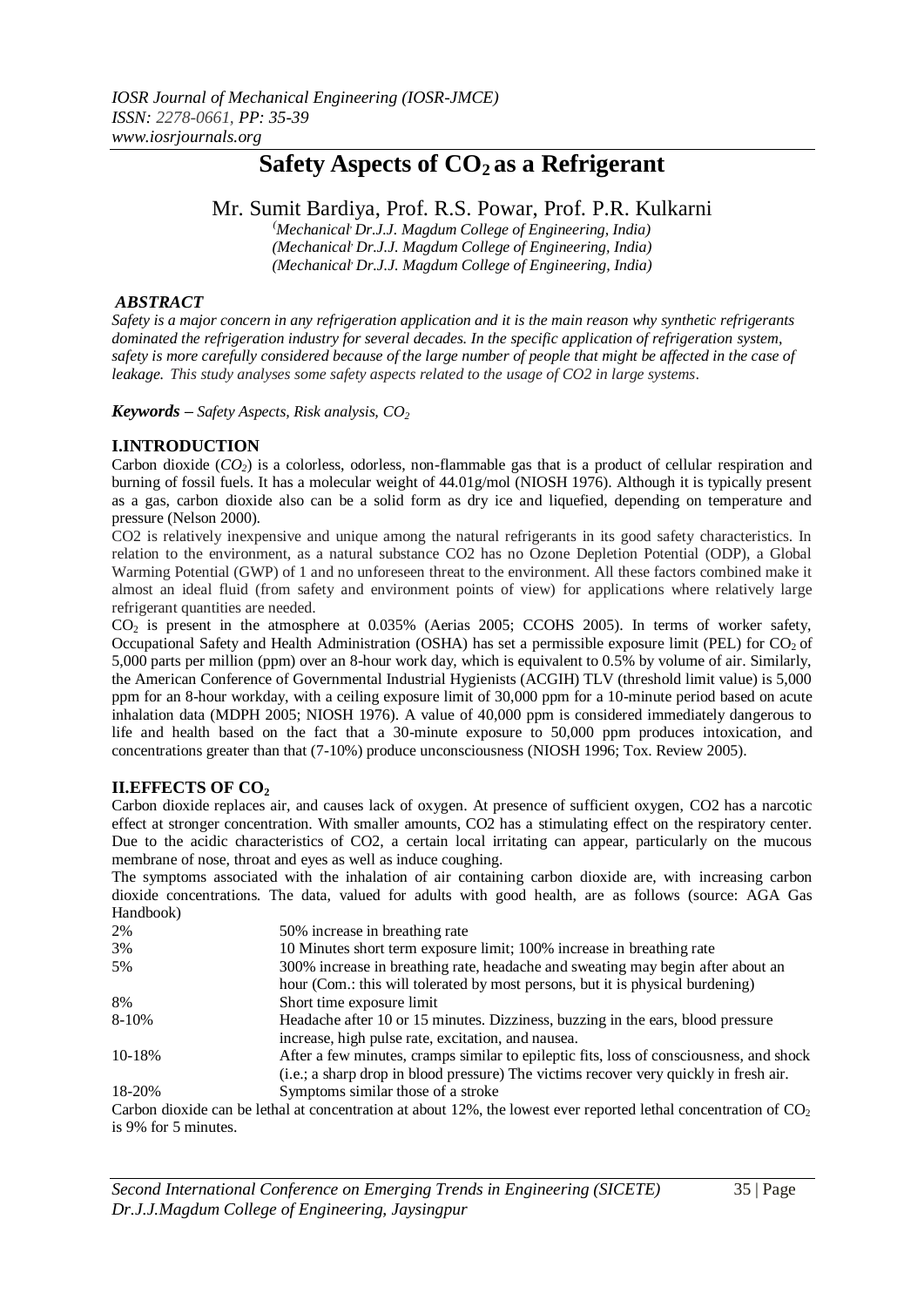# **Safety Aspects of CO2 as a Refrigerant**

## Mr. Sumit Bardiya, Prof. R.S. Powar, Prof. P.R. Kulkarni

*(Mechanical, Dr.J.J. Magdum College of Engineering, India) (Mechanical, Dr.J.J. Magdum College of Engineering, India) (Mechanical, Dr.J.J. Magdum College of Engineering, India)*

## *ABSTRACT*

*Safety is a major concern in any refrigeration application and it is the main reason why synthetic refrigerants dominated the refrigeration industry for several decades. In the specific application of refrigeration system, safety is more carefully considered because of the large number of people that might be affected in the case of leakage. This study analyses some safety aspects related to the usage of CO2 in large systems.*

*Keywords – Safety Aspects, Risk analysis, CO<sup>2</sup>*

## **I.INTRODUCTION**

Carbon dioxide (*CO2*) is a colorless, odorless, non-flammable gas that is a product of cellular respiration and burning of fossil fuels. It has a molecular weight of 44.01g/mol (NIOSH 1976). Although it is typically present as a gas, carbon dioxide also can be a solid form as dry ice and liquefied, depending on temperature and pressure (Nelson 2000).

CO2 is relatively inexpensive and unique among the natural refrigerants in its good safety characteristics. In relation to the environment, as a natural substance CO2 has no Ozone Depletion Potential (ODP), a Global Warming Potential (GWP) of 1 and no unforeseen threat to the environment. All these factors combined make it almost an ideal fluid (from safety and environment points of view) for applications where relatively large refrigerant quantities are needed.

CO<sup>2</sup> is present in the atmosphere at 0.035% (Aerias 2005; CCOHS 2005). In terms of worker safety, Occupational Safety and Health Administration (OSHA) has set a permissible exposure limit (PEL) for  $CO<sub>2</sub>$  of 5,000 parts per million (ppm) over an 8-hour work day, which is equivalent to 0.5% by volume of air. Similarly, the American Conference of Governmental Industrial Hygienists (ACGIH) TLV (threshold limit value) is 5,000 ppm for an 8-hour workday, with a ceiling exposure limit of 30,000 ppm for a 10-minute period based on acute inhalation data (MDPH 2005; NIOSH 1976). A value of 40,000 ppm is considered immediately dangerous to life and health based on the fact that a 30-minute exposure to 50,000 ppm produces intoxication, and concentrations greater than that (7-10%) produce unconsciousness (NIOSH 1996; Tox. Review 2005).

## **II.EFFECTS OF CO<sup>2</sup>**

Carbon dioxide replaces air, and causes lack of oxygen. At presence of sufficient oxygen, CO2 has a narcotic effect at stronger concentration. With smaller amounts, CO2 has a stimulating effect on the respiratory center. Due to the acidic characteristics of CO2, a certain local irritating can appear, particularly on the mucous membrane of nose, throat and eyes as well as induce coughing.

The symptoms associated with the inhalation of air containing carbon dioxide are, with increasing carbon dioxide concentrations. The data, valued for adults with good health, are as follows (source: AGA Gas Handbook)

| 2%        | 50% increase in breathing rate                                                                                    |  |  |
|-----------|-------------------------------------------------------------------------------------------------------------------|--|--|
| 3%        | 10 Minutes short term exposure limit; 100% increase in breathing rate                                             |  |  |
| 5%        | 300% increase in breathing rate, headache and sweating may begin after about an                                   |  |  |
|           | hour (Com.: this will tolerated by most persons, but it is physical burdening)                                    |  |  |
| 8%        | Short time exposure limit                                                                                         |  |  |
| $8 - 10%$ | Headache after 10 or 15 minutes. Dizziness, buzzing in the ears, blood pressure                                   |  |  |
|           | increase, high pulse rate, excitation, and nausea.                                                                |  |  |
| 10-18%    | After a few minutes, cramps similar to epileptic fits, loss of consciousness, and shock                           |  |  |
|           | (i.e.; a sharp drop in blood pressure) The victims recover very quickly in fresh air.                             |  |  |
| 18-20%    | Symptoms similar those of a stroke                                                                                |  |  |
|           | Carbon dioxide can be lethal at concentration at about 12% the lowest ever reported lethal concentration of $CO2$ |  |  |

Carbon dioxide can be lethal at concentration at about 12%, the lowest ever reported lethal concentration of  $\mathcal{CO}_2$ is 9% for 5 minutes.

*Second International Conference on Emerging Trends in Engineering (SICETE)* 35 | Page *Dr.J.J.Magdum College of Engineering, Jaysingpur*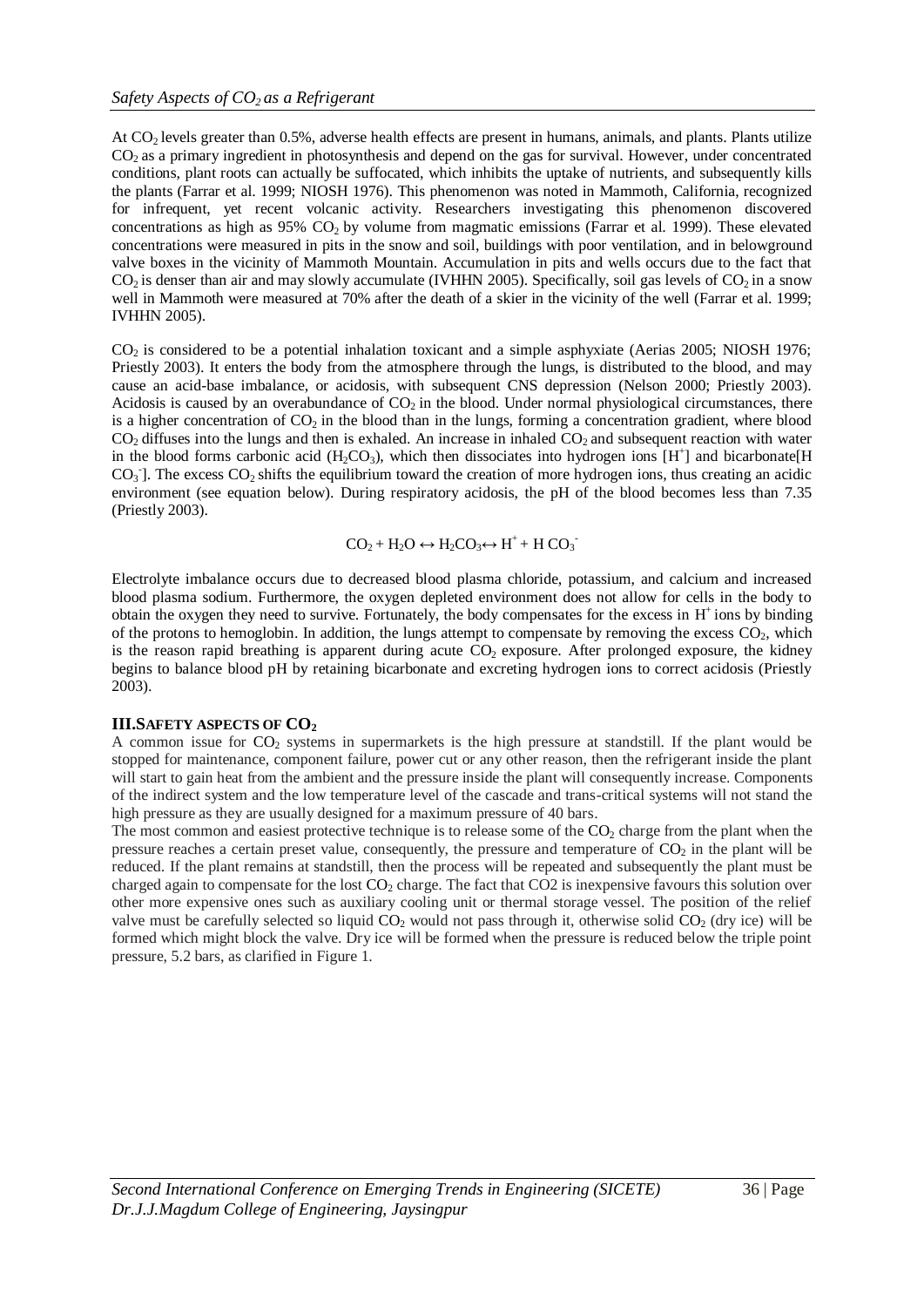At CO<sub>2</sub> levels greater than 0.5%, adverse health effects are present in humans, animals, and plants. Plants utilize  $CO<sub>2</sub>$  as a primary ingredient in photosynthesis and depend on the gas for survival. However, under concentrated conditions, plant roots can actually be suffocated, which inhibits the uptake of nutrients, and subsequently kills the plants (Farrar et al. 1999; NIOSH 1976). This phenomenon was noted in Mammoth, California, recognized for infrequent, yet recent volcanic activity. Researchers investigating this phenomenon discovered concentrations as high as  $95\%$  CO<sub>2</sub> by volume from magmatic emissions (Farrar et al. 1999). These elevated concentrations were measured in pits in the snow and soil, buildings with poor ventilation, and in belowground valve boxes in the vicinity of Mammoth Mountain. Accumulation in pits and wells occurs due to the fact that  $CO<sub>2</sub>$  is denser than air and may slowly accumulate (IVHHN 2005). Specifically, soil gas levels of  $CO<sub>2</sub>$  in a snow well in Mammoth were measured at 70% after the death of a skier in the vicinity of the well (Farrar et al. 1999; IVHHN 2005).

 $CO<sub>2</sub>$  is considered to be a potential inhalation toxicant and a simple asphyxiate (Aerias 2005; NIOSH 1976; Priestly 2003). It enters the body from the atmosphere through the lungs, is distributed to the blood, and may cause an acid-base imbalance, or acidosis, with subsequent CNS depression (Nelson 2000; Priestly 2003). Acidosis is caused by an overabundance of  $CO<sub>2</sub>$  in the blood. Under normal physiological circumstances, there is a higher concentration of  $CO<sub>2</sub>$  in the blood than in the lungs, forming a concentration gradient, where blood  $CO<sub>2</sub>$  diffuses into the lungs and then is exhaled. An increase in inhaled  $CO<sub>2</sub>$  and subsequent reaction with water in the blood forms carbonic acid (H<sub>2</sub>CO<sub>3</sub>), which then dissociates into hydrogen ions [H<sup>+</sup>] and bicarbonate[H  $CO<sub>3</sub>$ ]. The excess  $CO<sub>2</sub>$  shifts the equilibrium toward the creation of more hydrogen ions, thus creating an acidic environment (see equation below). During respiratory acidosis, the pH of the blood becomes less than 7.35 (Priestly 2003).

$$
CO_2 + H_2O \leftrightarrow H_2CO_3 \leftrightarrow H^+ + H\ CO_3^-
$$

Electrolyte imbalance occurs due to decreased blood plasma chloride, potassium, and calcium and increased blood plasma sodium. Furthermore, the oxygen depleted environment does not allow for cells in the body to obtain the oxygen they need to survive. Fortunately, the body compensates for the excess in  $H^+$  ions by binding of the protons to hemoglobin. In addition, the lungs attempt to compensate by removing the excess  $CO<sub>2</sub>$ , which is the reason rapid breathing is apparent during acute  $CO<sub>2</sub>$  exposure. After prolonged exposure, the kidney begins to balance blood pH by retaining bicarbonate and excreting hydrogen ions to correct acidosis (Priestly 2003).

#### **III.SAFETY ASPECTS OF CO<sup>2</sup>**

A common issue for  $CO_2$  systems in supermarkets is the high pressure at standstill. If the plant would be stopped for maintenance, component failure, power cut or any other reason, then the refrigerant inside the plant will start to gain heat from the ambient and the pressure inside the plant will consequently increase. Components of the indirect system and the low temperature level of the cascade and trans-critical systems will not stand the high pressure as they are usually designed for a maximum pressure of 40 bars.

The most common and easiest protective technique is to release some of the  $CO<sub>2</sub>$  charge from the plant when the pressure reaches a certain preset value, consequently, the pressure and temperature of  $CO<sub>2</sub>$  in the plant will be reduced. If the plant remains at standstill, then the process will be repeated and subsequently the plant must be charged again to compensate for the lost  $CO<sub>2</sub>$  charge. The fact that  $CO<sub>2</sub>$  is inexpensive favours this solution over other more expensive ones such as auxiliary cooling unit or thermal storage vessel. The position of the relief valve must be carefully selected so liquid  $CO_2$  would not pass through it, otherwise solid  $CO_2$  (dry ice) will be formed which might block the valve. Dry ice will be formed when the pressure is reduced below the triple point pressure, 5.2 bars, as clarified in Figure 1.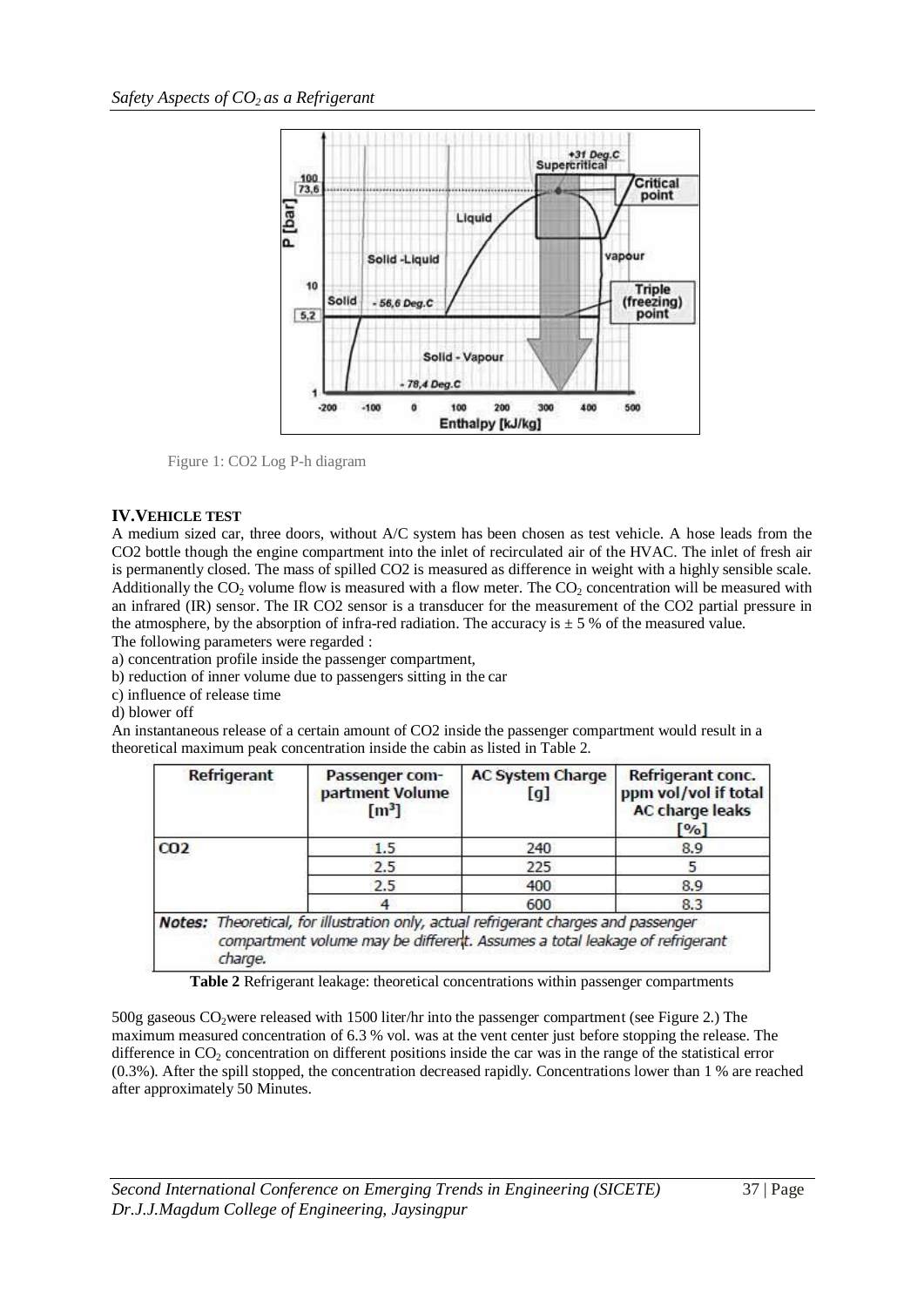

Figure 1: CO2 Log P-h diagram

### **IV.VEHICLE TEST**

A medium sized car, three doors, without A/C system has been chosen as test vehicle. A hose leads from the CO2 bottle though the engine compartment into the inlet of recirculated air of the HVAC. The inlet of fresh air is permanently closed. The mass of spilled CO2 is measured as difference in weight with a highly sensible scale. Additionally the  $CO<sub>2</sub>$  volume flow is measured with a flow meter. The  $CO<sub>2</sub>$  concentration will be measured with an infrared (IR) sensor. The IR CO2 sensor is a transducer for the measurement of the CO2 partial pressure in the atmosphere, by the absorption of infra-red radiation. The accuracy is  $\pm$  5 % of the measured value. The following parameters were regarded :

a) concentration profile inside the passenger compartment,

b) reduction of inner volume due to passengers sitting in the car

c) influence of release time

d) blower off

An instantaneous release of a certain amount of CO2 inside the passenger compartment would result in a theoretical maximum peak concentration inside the cabin as listed in Table 2.

| <b>Refrigerant</b> | Passenger com-<br>partment Volume<br>[m <sup>3</sup> ]                                                                                                             | <b>AC System Charge</b><br>[g] | Refrigerant conc.<br>ppm vol/vol if total<br><b>AC charge leaks</b><br>[ <sup>0</sup> / <sub>0</sub> ] |
|--------------------|--------------------------------------------------------------------------------------------------------------------------------------------------------------------|--------------------------------|--------------------------------------------------------------------------------------------------------|
| CO <sub>2</sub>    | 1.5                                                                                                                                                                | 240                            | 8.9                                                                                                    |
|                    | 2.5                                                                                                                                                                | 225                            |                                                                                                        |
|                    | 2.5                                                                                                                                                                | 400                            | 8.9                                                                                                    |
|                    |                                                                                                                                                                    | 600                            | 8.3                                                                                                    |
| charge.            | Notes: Theoretical, for illustration only, actual refrigerant charges and passenger<br>compartment volume may be different. Assumes a total leakage of refrigerant |                                |                                                                                                        |

**Table 2** Refrigerant leakage: theoretical concentrations within passenger compartments

500g gaseous CO2were released with 1500 liter/hr into the passenger compartment (see Figure 2.) The maximum measured concentration of 6.3 % vol. was at the vent center just before stopping the release. The difference in  $CO<sub>2</sub>$  concentration on different positions inside the car was in the range of the statistical error (0.3%). After the spill stopped, the concentration decreased rapidly. Concentrations lower than 1 % are reached after approximately 50 Minutes.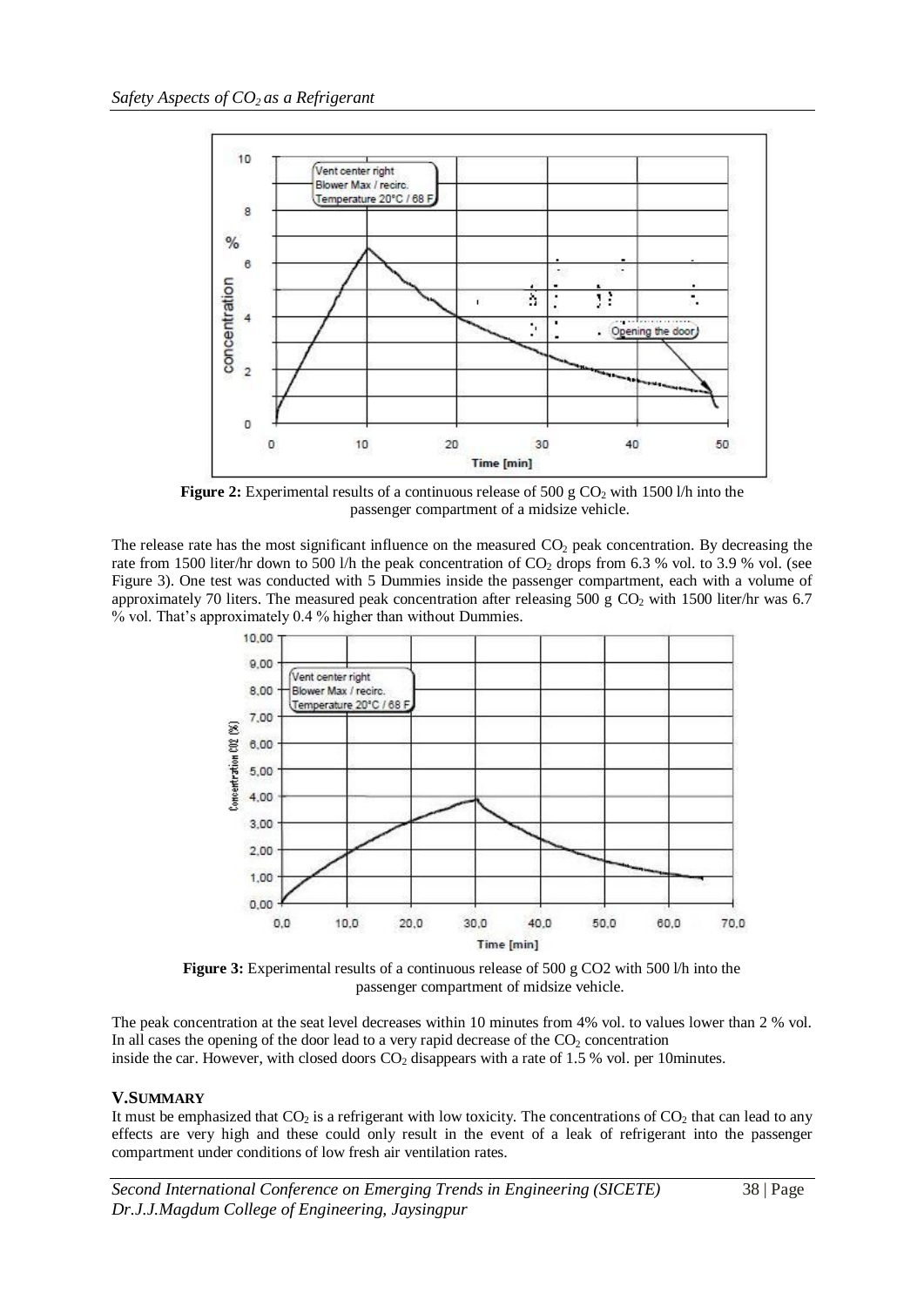

**Figure 2:** Experimental results of a continuous release of 500 g CO<sub>2</sub> with 1500 l/h into the passenger compartment of a midsize vehicle.

The release rate has the most significant influence on the measured  $CO<sub>2</sub>$  peak concentration. By decreasing the rate from 1500 liter/hr down to 500 l/h the peak concentration of  $CO_2$  drops from 6.3 % vol. to 3.9 % vol. (see Figure 3). One test was conducted with 5 Dummies inside the passenger compartment, each with a volume of approximately 70 liters. The measured peak concentration after releasing 500 g  $CO<sub>2</sub>$  with 1500 liter/hr was 6.7 % vol. That's approximately 0.4 % higher than without Dummies.



Figure 3: Experimental results of a continuous release of 500 g CO2 with 500 l/h into the passenger compartment of midsize vehicle.

The peak concentration at the seat level decreases within 10 minutes from 4% vol. to values lower than 2 % vol. In all cases the opening of the door lead to a very rapid decrease of the  $CO<sub>2</sub>$  concentration inside the car. However, with closed doors  $CO<sub>2</sub>$  disappears with a rate of 1.5 % vol. per 10minutes.

#### **V.SUMMARY**

It must be emphasized that  $CO_2$  is a refrigerant with low toxicity. The concentrations of  $CO_2$  that can lead to any effects are very high and these could only result in the event of a leak of refrigerant into the passenger compartment under conditions of low fresh air ventilation rates.

*Second International Conference on Emerging Trends in Engineering (SICETE)* 38 | Page *Dr.J.J.Magdum College of Engineering, Jaysingpur*